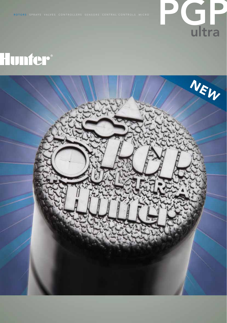

# Hunfer®

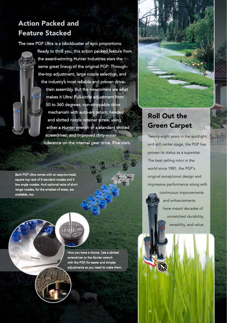## Action Packed and Feature Stacked

The new PGP Ultra is a blockbuster of epic proportions.

Ready to thrill you, this action packed feature from the award-winning Hunter Industries stars the same great lineup of the original PGP: Throughthe-top adjustment, large nozzle selection, and the industry's most reliable and proven drivetrain assembly. But the newcomers are what makes it Ultra: Full-circle adjustment from 50 to 360 degrees; non-strippable drive mechanism with auto-arc return; headed and slotted nozzle retainer screw, using either a Hunter wrench or a standard slotted screwdriver; and improved dirty-water tolerance on the internal gear drive. Five stars.

Each PGP Ultra comes with an easy-to-install, square top rack of 8 standard nozzles and 4 low angle nozzles. And optional racks of short range nozzles, for the smallest of areas, are available, too.

> Now you have a choice. Use a slotted screwdriver or the Hunter wrench with the PGP, for easier and simpler adjustments as you need to make them.

### Roll Out the Green Carpet

Twenty-eight years in the spotlight and still center stage, the PGP has proven its status as a superstar. The best selling rotor in the world since 1981, the PGP's original exceptional design and impressive performance along with

> continuous improvements and enhancements have meant decades of unmatched durability, versatility, and value.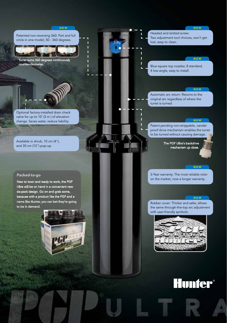#### *N E W*

Patented non-reversing 360: Part and full circle in one model, 50 - 360 degrees.

*N E W*

n



Turret turns 360 degrees continuously counter-clockwise.



Optional factory-installed drain check valve for up to 10' (3 m ) of elevation change. Saves water, reduce liability.

Available in shrub, 10 cm (4"), and 30 cm (12") pop-up.

#### Packed-to-go

New to town and ready to work, the PGP Ultra will be on hand in a convenient new six-pack design. Go on and grab some, because with a product like the PGP and a name like Hunter, you can bet they're going to be in demand.

Headed and slotted screw: Two adjustment tool choices, won't get lost, easy to clean.

#### *N E W*

Blue square top nozzles: 8 standard, 4 low-angle, easy to install.

#### *N E W*

Automatic arc return: Returns to the original arc regardless of where the turret is turned.

#### *N E W*

Patent pending non-strippable, vandalproof drive mechanism enables the turret to be turned without causing damage.

> The PGP Ultra's backdrive mechanism up close.

#### *N E W*

3-Year warranty: The most reliable rotor on the market, now a longer warranty.

#### *N E W*

Rubber cover: Thicker and safer, allows the same through-the-top arc adjustment with user-friendly symbols.